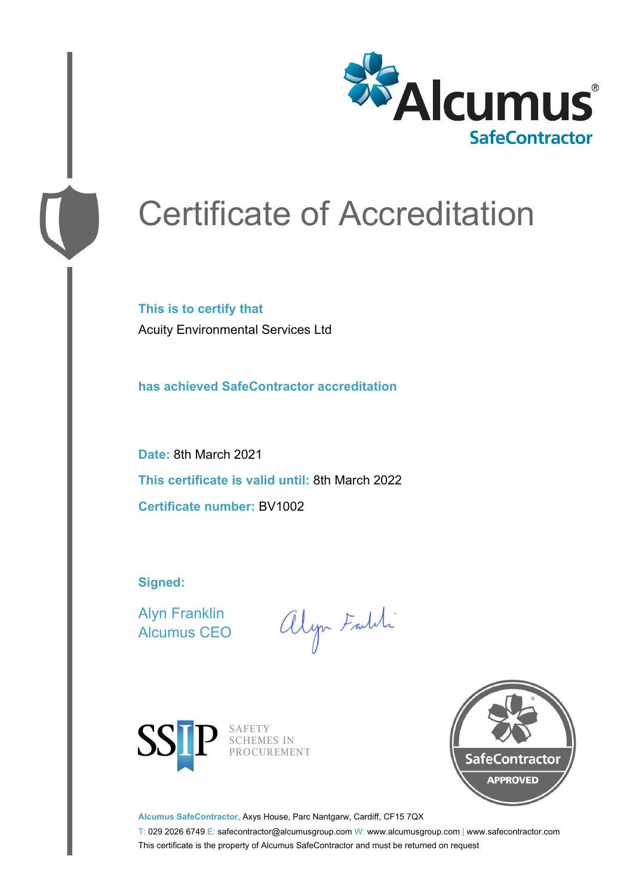

# Certificate of Accreditation

**This is to certify that** Acuity Environmental Services Ltd

**has achieved SafeContractor accreditation**

**Date:** 8th March 2021 **This certificate is valid until:** 8th March 2022 **Certificate number:** BV1002

**Signed:**

Alyn Franklin Alcumus CEO

alyn Faldi



SAFETY<br>SCHEMES IN PROCUREMENT



**Alcumus SafeContractor,** Axys House, Parc Nantgarw, Cardiff, CF15 7QX

T: 029 2026 6749 E: safecontractor@alcumusgroup.com W: www.alcumusgroup.com | www.safecontractor.com This certificate is the property of Alcumus SafeContractor and must be returned on request